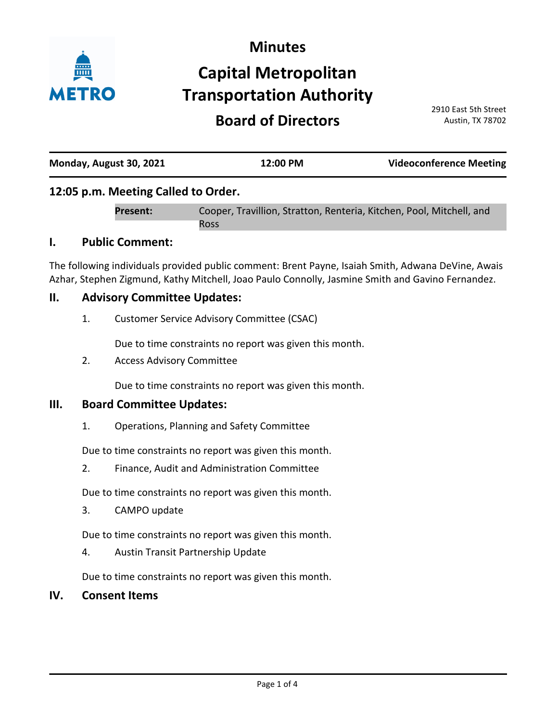

# **Minutes Capital Metropolitan Transportation Authority**

# **Board of Directors**

2910 East 5th Street Austin, TX 78702

| Monday, August 30, 2021 | 12:00 PM | <b>Videoconference Meeting</b> |
|-------------------------|----------|--------------------------------|
|                         |          |                                |

# **12:05 p.m. Meeting Called to Order.**

Cooper, Travillion, Stratton, Renteria, Kitchen, Pool, Mitchell, and Ross **Present:**

### **I. Public Comment:**

The following individuals provided public comment: Brent Payne, Isaiah Smith, Adwana DeVine, Awais Azhar, Stephen Zigmund, Kathy Mitchell, Joao Paulo Connolly, Jasmine Smith and Gavino Fernandez.

#### **II. Advisory Committee Updates:**

1. Customer Service Advisory Committee (CSAC)

Due to time constraints no report was given this month.

2. Access Advisory Committee

Due to time constraints no report was given this month.

#### **III. Board Committee Updates:**

1. Operations, Planning and Safety Committee

Due to time constraints no report was given this month.

2. Finance, Audit and Administration Committee

Due to time constraints no report was given this month.

3. CAMPO update

Due to time constraints no report was given this month.

4. Austin Transit Partnership Update

Due to time constraints no report was given this month.

#### **IV. Consent Items**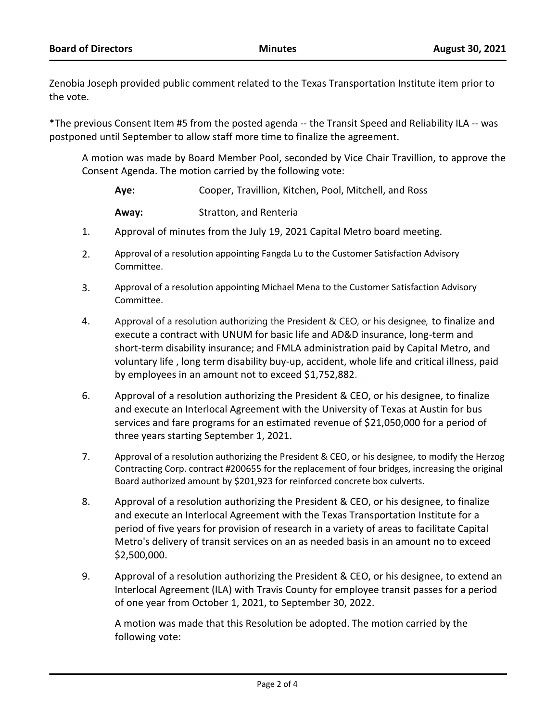Zenobia Joseph provided public comment related to the Texas Transportation Institute item prior to the vote.

\*The previous Consent Item #5 from the posted agenda -- the Transit Speed and Reliability ILA -- was postponed until September to allow staff more time to finalize the agreement.

A motion was made by Board Member Pool, seconded by Vice Chair Travillion, to approve the Consent Agenda. The motion carried by the following vote:

| Ave:  | Cooper, Travillion, Kitchen, Pool, Mitchell, and Ross |
|-------|-------------------------------------------------------|
| Away: | Stratton, and Renteria                                |

- 1. Approval of minutes from the July 19, 2021 Capital Metro board meeting.
- 2. Approval of a resolution appointing Fangda Lu to the Customer Satisfaction Advisory Committee.
- 3. Approval of a resolution appointing Michael Mena to the Customer Satisfaction Advisory Committee.
- 4. Approval of a resolution authorizing the President & CEO, or his designee, to finalize and execute a contract with UNUM for basic life and AD&D insurance, long-term and short-term disability insurance; and FMLA administration paid by Capital Metro, and voluntary life , long term disability buy-up, accident, whole life and critical illness, paid by employees in an amount not to exceed \$1,752,882.
- 6. Approval of a resolution authorizing the President & CEO, or his designee, to finalize and execute an Interlocal Agreement with the University of Texas at Austin for bus services and fare programs for an estimated revenue of \$21,050,000 for a period of three years starting September 1, 2021.
- 7. Approval of a resolution authorizing the President & CEO, or his designee, to modify the Herzog Contracting Corp. contract #200655 for the replacement of four bridges, increasing the original Board authorized amount by \$201,923 for reinforced concrete box culverts.
- 8. Approval of a resolution authorizing the President & CEO, or his designee, to finalize and execute an Interlocal Agreement with the Texas Transportation Institute for a period of five years for provision of research in a variety of areas to facilitate Capital Metro's delivery of transit services on an as needed basis in an amount no to exceed \$2,500,000.
- 9. Approval of a resolution authorizing the President & CEO, or his designee, to extend an Interlocal Agreement (ILA) with Travis County for employee transit passes for a period of one year from October 1, 2021, to September 30, 2022.

A motion was made that this Resolution be adopted. The motion carried by the following vote: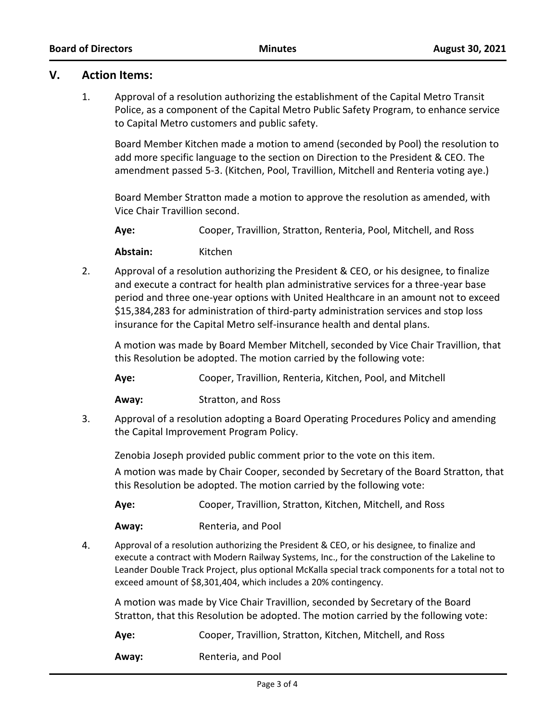#### **V. Action Items:**

1. Approval of a resolution authorizing the establishment of the Capital Metro Transit Police, as a component of the Capital Metro Public Safety Program, to enhance service to Capital Metro customers and public safety.

Board Member Kitchen made a motion to amend (seconded by Pool) the resolution to add more specific language to the section on Direction to the President & CEO. The amendment passed 5-3. (Kitchen, Pool, Travillion, Mitchell and Renteria voting aye.)

Board Member Stratton made a motion to approve the resolution as amended, with Vice Chair Travillion second.

**Aye:** Cooper, Travillion, Stratton, Renteria, Pool, Mitchell, and Ross

Abstain: Kitchen

2. Approval of a resolution authorizing the President & CEO, or his designee, to finalize and execute a contract for health plan administrative services for a three-year base period and three one-year options with United Healthcare in an amount not to exceed \$15,384,283 for administration of third-party administration services and stop loss insurance for the Capital Metro self-insurance health and dental plans.

A motion was made by Board Member Mitchell, seconded by Vice Chair Travillion, that this Resolution be adopted. The motion carried by the following vote:

**Aye:** Cooper, Travillion, Renteria, Kitchen, Pool, and Mitchell

**Away:** Stratton, and Ross

3. Approval of a resolution adopting a Board Operating Procedures Policy and amending the Capital Improvement Program Policy.

Zenobia Joseph provided public comment prior to the vote on this item.

A motion was made by Chair Cooper, seconded by Secretary of the Board Stratton, that this Resolution be adopted. The motion carried by the following vote:

**Aye:** Cooper, Travillion, Stratton, Kitchen, Mitchell, and Ross

**Away:** Renteria, and Pool

4. Approval of a resolution authorizing the President & CEO, or his designee, to finalize and execute a contract with Modern Railway Systems, Inc., for the construction of the Lakeline to Leander Double Track Project, plus optional McKalla special track components for a total not to exceed amount of \$8,301,404, which includes a 20% contingency.

A motion was made by Vice Chair Travillion, seconded by Secretary of the Board Stratton, that this Resolution be adopted. The motion carried by the following vote:

**Aye:** Cooper, Travillion, Stratton, Kitchen, Mitchell, and Ross

**Away:** Renteria, and Pool